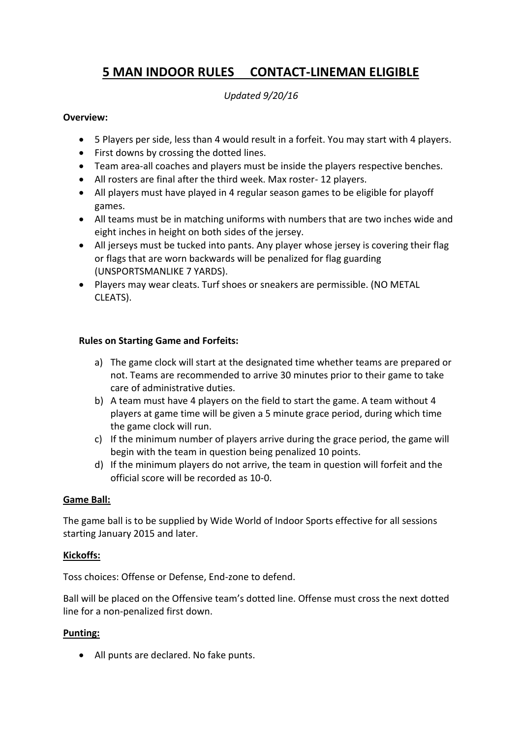# **5 MAN INDOOR RULES CONTACT-LINEMAN ELIGIBLE**

#### *Updated 9/20/16*

#### **Overview:**

- 5 Players per side, less than 4 would result in a forfeit. You may start with 4 players.
- First downs by crossing the dotted lines.
- Team area-all coaches and players must be inside the players respective benches.
- All rosters are final after the third week. Max roster- 12 players.
- All players must have played in 4 regular season games to be eligible for playoff games.
- All teams must be in matching uniforms with numbers that are two inches wide and eight inches in height on both sides of the jersey.
- All jerseys must be tucked into pants. Any player whose jersey is covering their flag or flags that are worn backwards will be penalized for flag guarding (UNSPORTSMANLIKE 7 YARDS).
- Players may wear cleats. Turf shoes or sneakers are permissible. (NO METAL CLEATS).

#### **Rules on Starting Game and Forfeits:**

- a) The game clock will start at the designated time whether teams are prepared or not. Teams are recommended to arrive 30 minutes prior to their game to take care of administrative duties.
- b) A team must have 4 players on the field to start the game. A team without 4 players at game time will be given a 5 minute grace period, during which time the game clock will run.
- c) If the minimum number of players arrive during the grace period, the game will begin with the team in question being penalized 10 points.
- d) If the minimum players do not arrive, the team in question will forfeit and the official score will be recorded as 10-0.

#### **Game Ball:**

The game ball is to be supplied by Wide World of Indoor Sports effective for all sessions starting January 2015 and later.

#### **Kickoffs:**

Toss choices: Offense or Defense, End-zone to defend.

Ball will be placed on the Offensive team's dotted line. Offense must cross the next dotted line for a non-penalized first down.

#### **Punting:**

All punts are declared. No fake punts.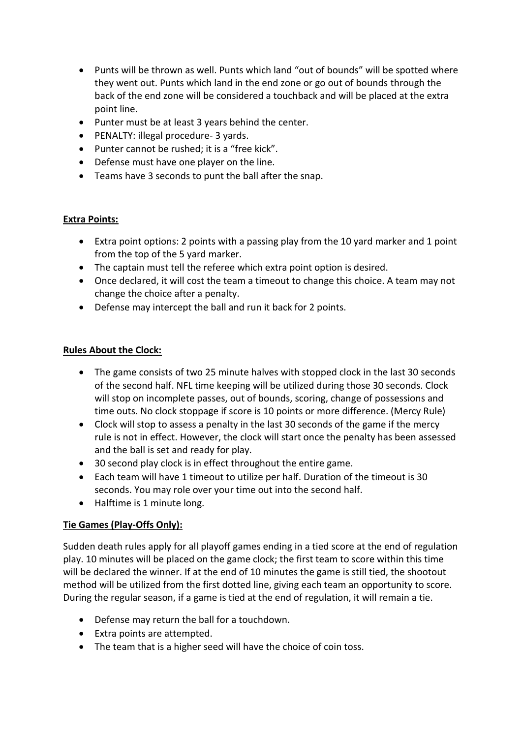- Punts will be thrown as well. Punts which land "out of bounds" will be spotted where they went out. Punts which land in the end zone or go out of bounds through the back of the end zone will be considered a touchback and will be placed at the extra point line.
- Punter must be at least 3 years behind the center.
- PENALTY: illegal procedure- 3 yards.
- Punter cannot be rushed; it is a "free kick".
- Defense must have one player on the line.
- Teams have 3 seconds to punt the ball after the snap.

## **Extra Points:**

- Extra point options: 2 points with a passing play from the 10 yard marker and 1 point from the top of the 5 yard marker.
- The captain must tell the referee which extra point option is desired.
- Once declared, it will cost the team a timeout to change this choice. A team may not change the choice after a penalty.
- Defense may intercept the ball and run it back for 2 points.

## **Rules About the Clock:**

- The game consists of two 25 minute halves with stopped clock in the last 30 seconds of the second half. NFL time keeping will be utilized during those 30 seconds. Clock will stop on incomplete passes, out of bounds, scoring, change of possessions and time outs. No clock stoppage if score is 10 points or more difference. (Mercy Rule)
- Clock will stop to assess a penalty in the last 30 seconds of the game if the mercy rule is not in effect. However, the clock will start once the penalty has been assessed and the ball is set and ready for play.
- 30 second play clock is in effect throughout the entire game.
- Each team will have 1 timeout to utilize per half. Duration of the timeout is 30 seconds. You may role over your time out into the second half.
- Halftime is 1 minute long.

# **Tie Games (Play-Offs Only):**

Sudden death rules apply for all playoff games ending in a tied score at the end of regulation play. 10 minutes will be placed on the game clock; the first team to score within this time will be declared the winner. If at the end of 10 minutes the game is still tied, the shootout method will be utilized from the first dotted line, giving each team an opportunity to score. During the regular season, if a game is tied at the end of regulation, it will remain a tie.

- Defense may return the ball for a touchdown.
- Extra points are attempted.
- The team that is a higher seed will have the choice of coin toss.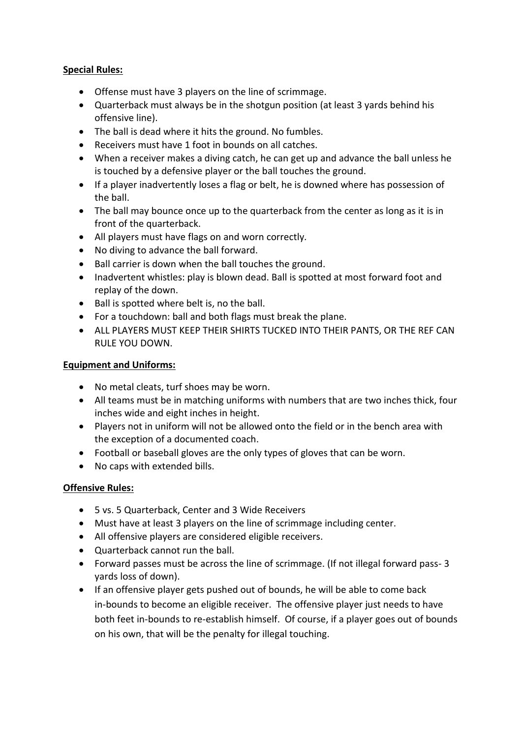#### **Special Rules:**

- Offense must have 3 players on the line of scrimmage.
- Quarterback must always be in the shotgun position (at least 3 yards behind his offensive line).
- The ball is dead where it hits the ground. No fumbles.
- Receivers must have 1 foot in bounds on all catches.
- When a receiver makes a diving catch, he can get up and advance the ball unless he is touched by a defensive player or the ball touches the ground.
- If a player inadvertently loses a flag or belt, he is downed where has possession of the ball.
- The ball may bounce once up to the quarterback from the center as long as it is in front of the quarterback.
- All players must have flags on and worn correctly.
- No diving to advance the ball forward.
- Ball carrier is down when the ball touches the ground.
- Inadvertent whistles: play is blown dead. Ball is spotted at most forward foot and replay of the down.
- Ball is spotted where belt is, no the ball.
- For a touchdown: ball and both flags must break the plane.
- ALL PLAYERS MUST KEEP THEIR SHIRTS TUCKED INTO THEIR PANTS, OR THE REF CAN RULE YOU DOWN.

## **Equipment and Uniforms:**

- No metal cleats, turf shoes may be worn.
- All teams must be in matching uniforms with numbers that are two inches thick, four inches wide and eight inches in height.
- Players not in uniform will not be allowed onto the field or in the bench area with the exception of a documented coach.
- Football or baseball gloves are the only types of gloves that can be worn.
- No caps with extended bills.

# **Offensive Rules:**

- 5 vs. 5 Quarterback, Center and 3 Wide Receivers
- Must have at least 3 players on the line of scrimmage including center.
- All offensive players are considered eligible receivers.
- Quarterback cannot run the ball.
- Forward passes must be across the line of scrimmage. (If not illegal forward pass- 3 yards loss of down).
- If an offensive player gets pushed out of bounds, he will be able to come back in-bounds to become an eligible receiver. The offensive player just needs to have both feet in-bounds to re-establish himself. Of course, if a player goes out of bounds on his own, that will be the penalty for illegal touching.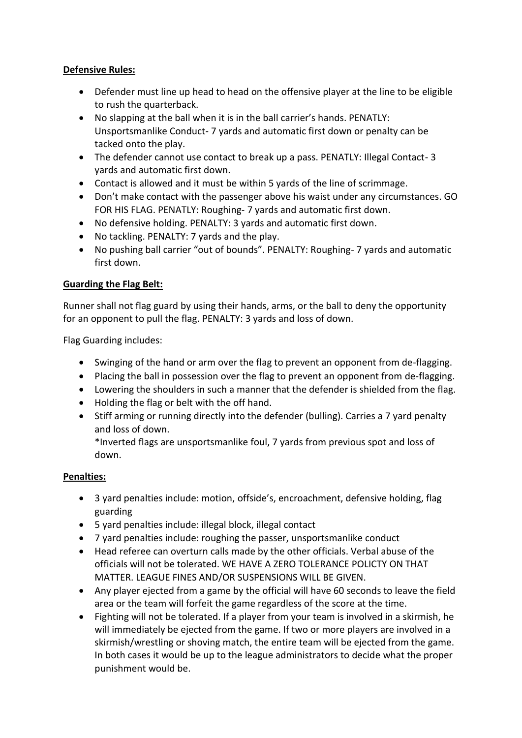## **Defensive Rules:**

- Defender must line up head to head on the offensive player at the line to be eligible to rush the quarterback.
- No slapping at the ball when it is in the ball carrier's hands. PENATLY: Unsportsmanlike Conduct- 7 yards and automatic first down or penalty can be tacked onto the play.
- The defender cannot use contact to break up a pass. PENATLY: Illegal Contact-3 yards and automatic first down.
- Contact is allowed and it must be within 5 yards of the line of scrimmage.
- Don't make contact with the passenger above his waist under any circumstances. GO FOR HIS FLAG. PENATLY: Roughing- 7 yards and automatic first down.
- No defensive holding. PENALTY: 3 yards and automatic first down.
- No tackling. PENALTY: 7 yards and the play.
- No pushing ball carrier "out of bounds". PENALTY: Roughing- 7 yards and automatic first down.

## **Guarding the Flag Belt:**

Runner shall not flag guard by using their hands, arms, or the ball to deny the opportunity for an opponent to pull the flag. PENALTY: 3 yards and loss of down.

Flag Guarding includes:

- Swinging of the hand or arm over the flag to prevent an opponent from de-flagging.
- Placing the ball in possession over the flag to prevent an opponent from de-flagging.
- Lowering the shoulders in such a manner that the defender is shielded from the flag.
- Holding the flag or belt with the off hand.
- Stiff arming or running directly into the defender (bulling). Carries a 7 yard penalty and loss of down.

\*Inverted flags are unsportsmanlike foul, 7 yards from previous spot and loss of down.

# **Penalties:**

- 3 yard penalties include: motion, offside's, encroachment, defensive holding, flag guarding
- 5 yard penalties include: illegal block, illegal contact
- 7 yard penalties include: roughing the passer, unsportsmanlike conduct
- Head referee can overturn calls made by the other officials. Verbal abuse of the officials will not be tolerated. WE HAVE A ZERO TOLERANCE POLICTY ON THAT MATTER. LEAGUE FINES AND/OR SUSPENSIONS WILL BE GIVEN.
- Any player ejected from a game by the official will have 60 seconds to leave the field area or the team will forfeit the game regardless of the score at the time.
- Fighting will not be tolerated. If a player from your team is involved in a skirmish, he will immediately be ejected from the game. If two or more players are involved in a skirmish/wrestling or shoving match, the entire team will be ejected from the game. In both cases it would be up to the league administrators to decide what the proper punishment would be.